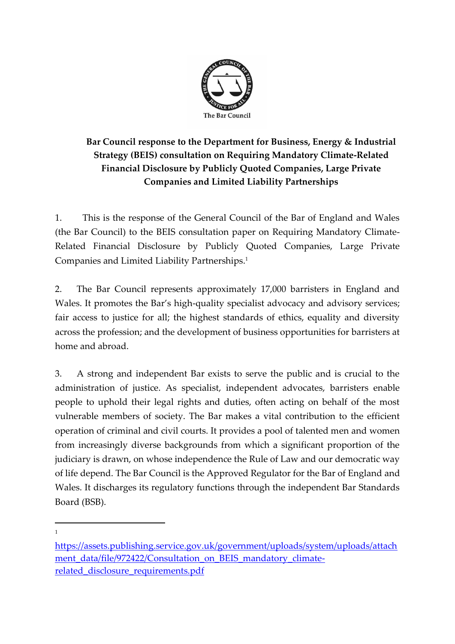

# **Bar Council response to the Department for Business, Energy & Industrial Strategy (BEIS) consultation on Requiring Mandatory Climate-Related Financial Disclosure by Publicly Quoted Companies, Large Private Companies and Limited Liability Partnerships**

1. This is the response of the General Council of the Bar of England and Wales (the Bar Council) to the BEIS consultation paper on Requiring Mandatory Climate-Related Financial Disclosure by Publicly Quoted Companies, Large Private Companies and Limited Liability Partnerships. 1

2. The Bar Council represents approximately 17,000 barristers in England and Wales. It promotes the Bar's high-quality specialist advocacy and advisory services; fair access to justice for all; the highest standards of ethics, equality and diversity across the profession; and the development of business opportunities for barristers at home and abroad.

3. A strong and independent Bar exists to serve the public and is crucial to the administration of justice. As specialist, independent advocates, barristers enable people to uphold their legal rights and duties, often acting on behalf of the most vulnerable members of society. The Bar makes a vital contribution to the efficient operation of criminal and civil courts. It provides a pool of talented men and women from increasingly diverse backgrounds from which a significant proportion of the judiciary is drawn, on whose independence the Rule of Law and our democratic way of life depend. The Bar Council is the Approved Regulator for the Bar of England and Wales. It discharges its regulatory functions through the independent Bar Standards Board (BSB).

1

[https://assets.publishing.service.gov.uk/government/uploads/system/uploads/attach](https://assets.publishing.service.gov.uk/government/uploads/system/uploads/attachment_data/file/972422/Consultation_on_BEIS_mandatory_climate-related_disclosure_requirements.pdf) [ment\\_data/file/972422/Consultation\\_on\\_BEIS\\_mandatory\\_climate](https://assets.publishing.service.gov.uk/government/uploads/system/uploads/attachment_data/file/972422/Consultation_on_BEIS_mandatory_climate-related_disclosure_requirements.pdf)[related\\_disclosure\\_requirements.pdf](https://assets.publishing.service.gov.uk/government/uploads/system/uploads/attachment_data/file/972422/Consultation_on_BEIS_mandatory_climate-related_disclosure_requirements.pdf)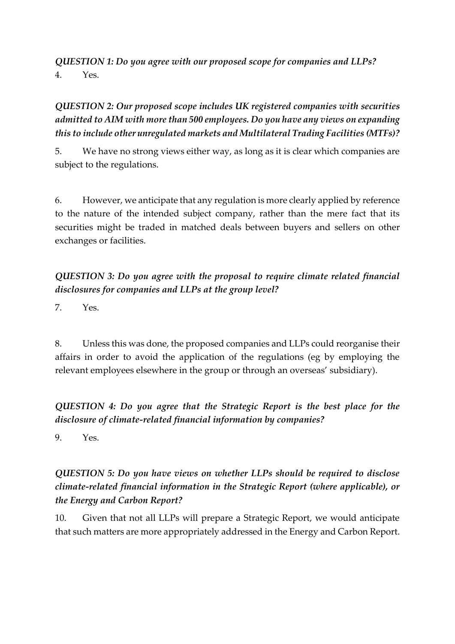*QUESTION 1: Do you agree with our proposed scope for companies and LLPs?* 4. Yes.

## *QUESTION 2: Our proposed scope includes UK registered companies with securities admitted to AIM with more than 500 employees. Do you have any views on expanding this to include other unregulated markets and Multilateral Trading Facilities (MTFs)?*

5. We have no strong views either way, as long as it is clear which companies are subject to the regulations.

6. However, we anticipate that any regulation is more clearly applied by reference to the nature of the intended subject company, rather than the mere fact that its securities might be traded in matched deals between buyers and sellers on other exchanges or facilities.

## *QUESTION 3: Do you agree with the proposal to require climate related financial disclosures for companies and LLPs at the group level?*

7. Yes.

8. Unless this was done, the proposed companies and LLPs could reorganise their affairs in order to avoid the application of the regulations (eg by employing the relevant employees elsewhere in the group or through an overseas' subsidiary).

## *QUESTION 4: Do you agree that the Strategic Report is the best place for the disclosure of climate-related financial information by companies?*

9. Yes.

## *QUESTION 5: Do you have views on whether LLPs should be required to disclose climate-related financial information in the Strategic Report (where applicable), or the Energy and Carbon Report?*

10. Given that not all LLPs will prepare a Strategic Report, we would anticipate that such matters are more appropriately addressed in the Energy and Carbon Report.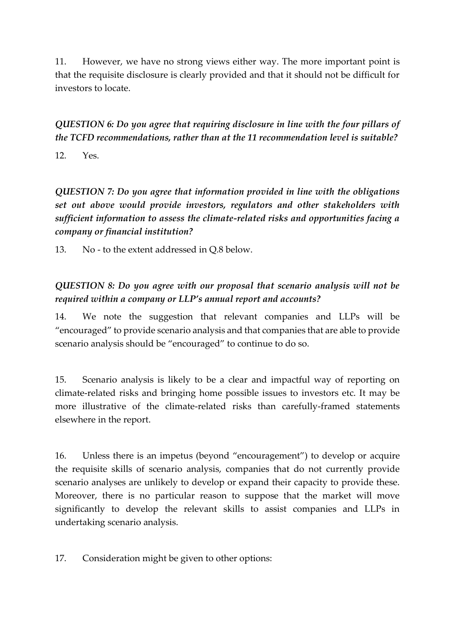11. However, we have no strong views either way. The more important point is that the requisite disclosure is clearly provided and that it should not be difficult for investors to locate.

*QUESTION 6: Do you agree that requiring disclosure in line with the four pillars of the TCFD recommendations, rather than at the 11 recommendation level is suitable?*

12. Yes.

*QUESTION 7: Do you agree that information provided in line with the obligations set out above would provide investors, regulators and other stakeholders with sufficient information to assess the climate-related risks and opportunities facing a company or financial institution?* 

13. No - to the extent addressed in Q.8 below.

## *QUESTION 8: Do you agree with our proposal that scenario analysis will not be required within a company or LLP's annual report and accounts?*

14. We note the suggestion that relevant companies and LLPs will be "encouraged" to provide scenario analysis and that companies that are able to provide scenario analysis should be "encouraged" to continue to do so.

15. Scenario analysis is likely to be a clear and impactful way of reporting on climate-related risks and bringing home possible issues to investors etc. It may be more illustrative of the climate-related risks than carefully-framed statements elsewhere in the report.

16. Unless there is an impetus (beyond "encouragement") to develop or acquire the requisite skills of scenario analysis, companies that do not currently provide scenario analyses are unlikely to develop or expand their capacity to provide these. Moreover, there is no particular reason to suppose that the market will move significantly to develop the relevant skills to assist companies and LLPs in undertaking scenario analysis.

17. Consideration might be given to other options: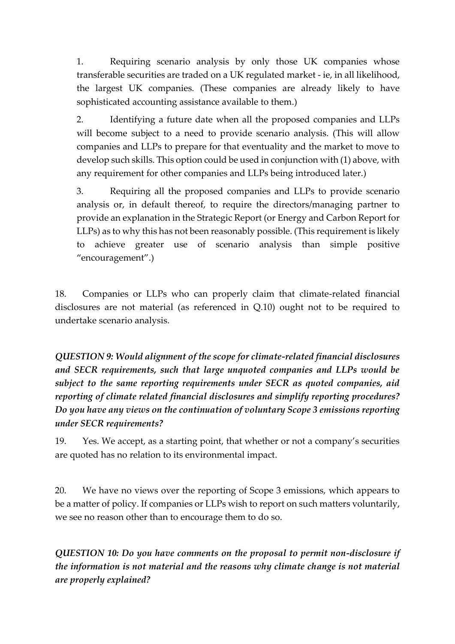1. Requiring scenario analysis by only those UK companies whose transferable securities are traded on a UK regulated market - ie, in all likelihood, the largest UK companies. (These companies are already likely to have sophisticated accounting assistance available to them.)

2. Identifying a future date when all the proposed companies and LLPs will become subject to a need to provide scenario analysis. (This will allow companies and LLPs to prepare for that eventuality and the market to move to develop such skills. This option could be used in conjunction with (1) above, with any requirement for other companies and LLPs being introduced later.)

3. Requiring all the proposed companies and LLPs to provide scenario analysis or, in default thereof, to require the directors/managing partner to provide an explanation in the Strategic Report (or Energy and Carbon Report for LLPs) as to why this has not been reasonably possible. (This requirement is likely to achieve greater use of scenario analysis than simple positive "encouragement".)

18. Companies or LLPs who can properly claim that climate-related financial disclosures are not material (as referenced in Q.10) ought not to be required to undertake scenario analysis.

*QUESTION 9: Would alignment of the scope for climate-related financial disclosures and SECR requirements, such that large unquoted companies and LLPs would be subject to the same reporting requirements under SECR as quoted companies, aid reporting of climate related financial disclosures and simplify reporting procedures? Do you have any views on the continuation of voluntary Scope 3 emissions reporting under SECR requirements?* 

19. Yes. We accept, as a starting point, that whether or not a company's securities are quoted has no relation to its environmental impact.

20. We have no views over the reporting of Scope 3 emissions, which appears to be a matter of policy. If companies or LLPs wish to report on such matters voluntarily, we see no reason other than to encourage them to do so.

*QUESTION 10: Do you have comments on the proposal to permit non-disclosure if the information is not material and the reasons why climate change is not material are properly explained?*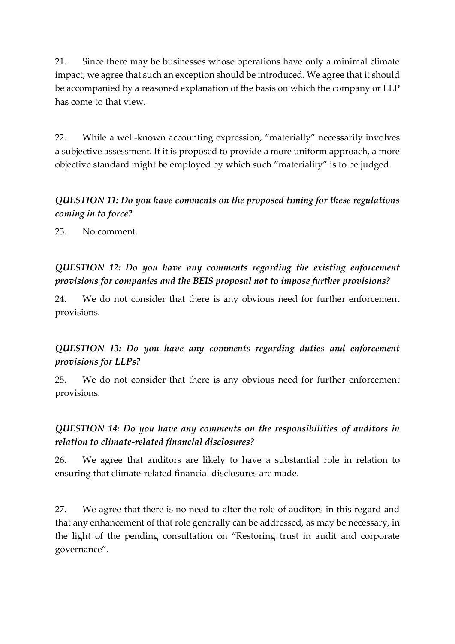21. Since there may be businesses whose operations have only a minimal climate impact, we agree that such an exception should be introduced. We agree that it should be accompanied by a reasoned explanation of the basis on which the company or LLP has come to that view.

22. While a well-known accounting expression, "materially" necessarily involves a subjective assessment. If it is proposed to provide a more uniform approach, a more objective standard might be employed by which such "materiality" is to be judged.

## *QUESTION 11: Do you have comments on the proposed timing for these regulations coming in to force?*

23. No comment.

*QUESTION 12: Do you have any comments regarding the existing enforcement provisions for companies and the BEIS proposal not to impose further provisions?*

24. We do not consider that there is any obvious need for further enforcement provisions.

*QUESTION 13: Do you have any comments regarding duties and enforcement provisions for LLPs?*

25. We do not consider that there is any obvious need for further enforcement provisions.

## *QUESTION 14: Do you have any comments on the responsibilities of auditors in relation to climate-related financial disclosures?*

26. We agree that auditors are likely to have a substantial role in relation to ensuring that climate-related financial disclosures are made.

27. We agree that there is no need to alter the role of auditors in this regard and that any enhancement of that role generally can be addressed, as may be necessary, in the light of the pending consultation on "Restoring trust in audit and corporate governance".